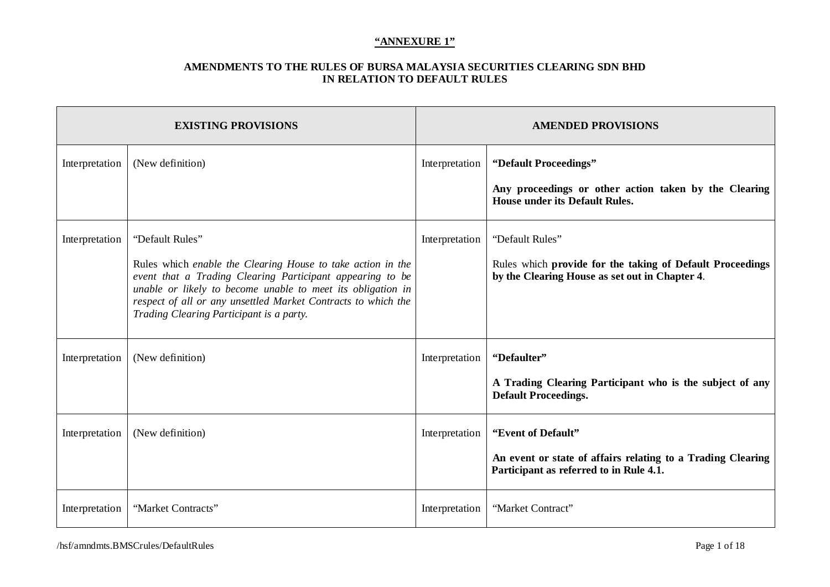|                | <b>EXISTING PROVISIONS</b>                                                                                                                                                                                                                                                                                              |                | <b>AMENDED PROVISIONS</b>                                                                                                      |  |
|----------------|-------------------------------------------------------------------------------------------------------------------------------------------------------------------------------------------------------------------------------------------------------------------------------------------------------------------------|----------------|--------------------------------------------------------------------------------------------------------------------------------|--|
| Interpretation | (New definition)                                                                                                                                                                                                                                                                                                        | Interpretation | "Default Proceedings"<br>Any proceedings or other action taken by the Clearing<br><b>House under its Default Rules.</b>        |  |
| Interpretation | "Default Rules"<br>Rules which enable the Clearing House to take action in the<br>event that a Trading Clearing Participant appearing to be<br>unable or likely to become unable to meet its obligation in<br>respect of all or any unsettled Market Contracts to which the<br>Trading Clearing Participant is a party. | Interpretation | "Default Rules"<br>Rules which provide for the taking of Default Proceedings<br>by the Clearing House as set out in Chapter 4. |  |
| Interpretation | (New definition)                                                                                                                                                                                                                                                                                                        | Interpretation | "Defaulter"<br>A Trading Clearing Participant who is the subject of any<br><b>Default Proceedings.</b>                         |  |
| Interpretation | (New definition)                                                                                                                                                                                                                                                                                                        | Interpretation | "Event of Default"<br>An event or state of affairs relating to a Trading Clearing<br>Participant as referred to in Rule 4.1.   |  |
| Interpretation | "Market Contracts"                                                                                                                                                                                                                                                                                                      | Interpretation | "Market Contract"                                                                                                              |  |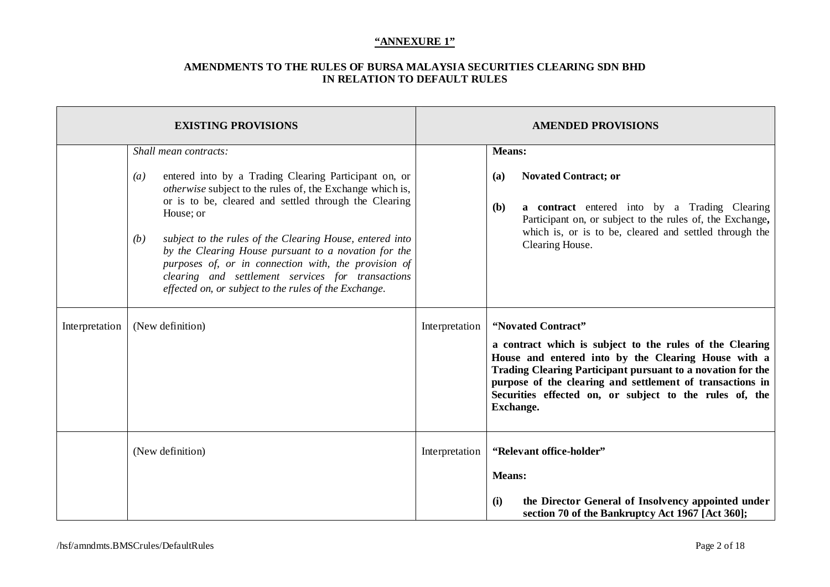| <b>EXISTING PROVISIONS</b> |                                                                                                                                                                                                                                                                                                                                                                                                                                                                                                                                                                   |                | <b>AMENDED PROVISIONS</b>                                                                                                                                                                                                                                                                                                                                                                                                                                            |  |  |
|----------------------------|-------------------------------------------------------------------------------------------------------------------------------------------------------------------------------------------------------------------------------------------------------------------------------------------------------------------------------------------------------------------------------------------------------------------------------------------------------------------------------------------------------------------------------------------------------------------|----------------|----------------------------------------------------------------------------------------------------------------------------------------------------------------------------------------------------------------------------------------------------------------------------------------------------------------------------------------------------------------------------------------------------------------------------------------------------------------------|--|--|
| Interpretation             | Shall mean contracts:<br>entered into by a Trading Clearing Participant on, or<br>$\left(a\right)$<br><i>otherwise</i> subject to the rules of, the Exchange which is,<br>or is to be, cleared and settled through the Clearing<br>House; or<br>subject to the rules of the Clearing House, entered into<br>(b)<br>by the Clearing House pursuant to a novation for the<br>purposes of, or in connection with, the provision of<br>clearing and settlement services for transactions<br>effected on, or subject to the rules of the Exchange.<br>(New definition) | Interpretation | <b>Means:</b><br><b>Novated Contract; or</b><br>(a)<br>a contract entered into by a Trading Clearing<br><b>(b)</b><br>Participant on, or subject to the rules of, the Exchange,<br>which is, or is to be, cleared and settled through the<br>Clearing House.<br>"Novated Contract"<br>a contract which is subject to the rules of the Clearing<br>House and entered into by the Clearing House with a<br>Trading Clearing Participant pursuant to a novation for the |  |  |
|                            | (New definition)                                                                                                                                                                                                                                                                                                                                                                                                                                                                                                                                                  | Interpretation | purpose of the clearing and settlement of transactions in<br>Securities effected on, or subject to the rules of, the<br>Exchange.<br>"Relevant office-holder"<br><b>Means:</b>                                                                                                                                                                                                                                                                                       |  |  |
|                            |                                                                                                                                                                                                                                                                                                                                                                                                                                                                                                                                                                   |                | the Director General of Insolvency appointed under<br>(i)<br>section 70 of the Bankruptcy Act 1967 [Act 360];                                                                                                                                                                                                                                                                                                                                                        |  |  |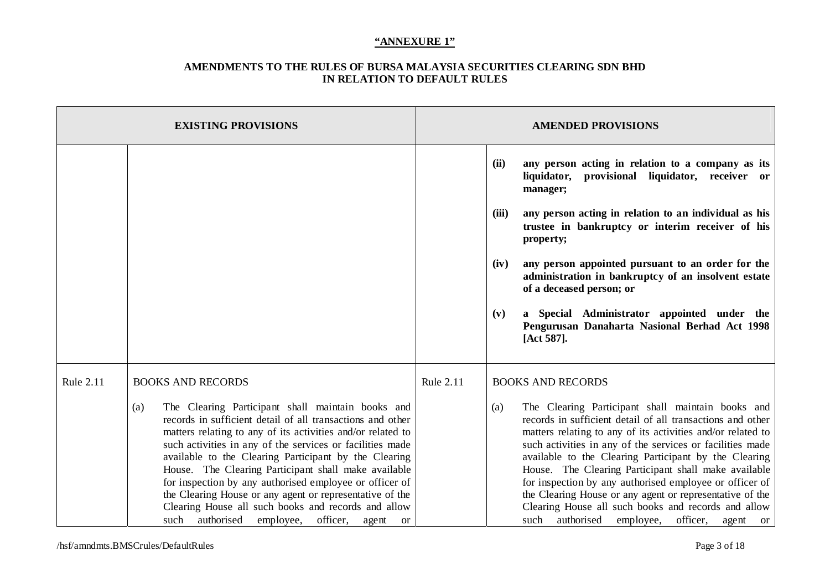|                  | <b>EXISTING PROVISIONS</b>                                                                                                                                                                                                                                                                                                                                                                                                                                                                                                                                                                                                 | <b>AMENDED PROVISIONS</b> |                                                                                                                                                                                                                                                                                                                                                                                                                                                                                                                                                                                                              |  |
|------------------|----------------------------------------------------------------------------------------------------------------------------------------------------------------------------------------------------------------------------------------------------------------------------------------------------------------------------------------------------------------------------------------------------------------------------------------------------------------------------------------------------------------------------------------------------------------------------------------------------------------------------|---------------------------|--------------------------------------------------------------------------------------------------------------------------------------------------------------------------------------------------------------------------------------------------------------------------------------------------------------------------------------------------------------------------------------------------------------------------------------------------------------------------------------------------------------------------------------------------------------------------------------------------------------|--|
|                  |                                                                                                                                                                                                                                                                                                                                                                                                                                                                                                                                                                                                                            |                           | any person acting in relation to a company as its<br>(ii)<br>liquidator, provisional liquidator, receiver or<br>manager;                                                                                                                                                                                                                                                                                                                                                                                                                                                                                     |  |
|                  |                                                                                                                                                                                                                                                                                                                                                                                                                                                                                                                                                                                                                            |                           | any person acting in relation to an individual as his<br>(iii)<br>trustee in bankruptcy or interim receiver of his<br>property;                                                                                                                                                                                                                                                                                                                                                                                                                                                                              |  |
|                  |                                                                                                                                                                                                                                                                                                                                                                                                                                                                                                                                                                                                                            |                           | any person appointed pursuant to an order for the<br>(iv)<br>administration in bankruptcy of an insolvent estate<br>of a deceased person; or                                                                                                                                                                                                                                                                                                                                                                                                                                                                 |  |
|                  |                                                                                                                                                                                                                                                                                                                                                                                                                                                                                                                                                                                                                            |                           | a Special Administrator appointed under the<br>(v)<br>Pengurusan Danaharta Nasional Berhad Act 1998<br>[Act 587].                                                                                                                                                                                                                                                                                                                                                                                                                                                                                            |  |
| <b>Rule 2.11</b> | <b>BOOKS AND RECORDS</b>                                                                                                                                                                                                                                                                                                                                                                                                                                                                                                                                                                                                   | <b>Rule 2.11</b>          | <b>BOOKS AND RECORDS</b>                                                                                                                                                                                                                                                                                                                                                                                                                                                                                                                                                                                     |  |
|                  | The Clearing Participant shall maintain books and<br>(a)<br>records in sufficient detail of all transactions and other<br>matters relating to any of its activities and/or related to<br>such activities in any of the services or facilities made<br>available to the Clearing Participant by the Clearing<br>House. The Clearing Participant shall make available<br>for inspection by any authorised employee or officer of<br>the Clearing House or any agent or representative of the<br>Clearing House all such books and records and allow<br>authorised<br>officer,<br>such<br>employee,<br>agent<br><sub>or</sub> |                           | The Clearing Participant shall maintain books and<br>(a)<br>records in sufficient detail of all transactions and other<br>matters relating to any of its activities and/or related to<br>such activities in any of the services or facilities made<br>available to the Clearing Participant by the Clearing<br>House. The Clearing Participant shall make available<br>for inspection by any authorised employee or officer of<br>the Clearing House or any agent or representative of the<br>Clearing House all such books and records and allow<br>authorised<br>such<br>officer,<br>employee,<br>agent or |  |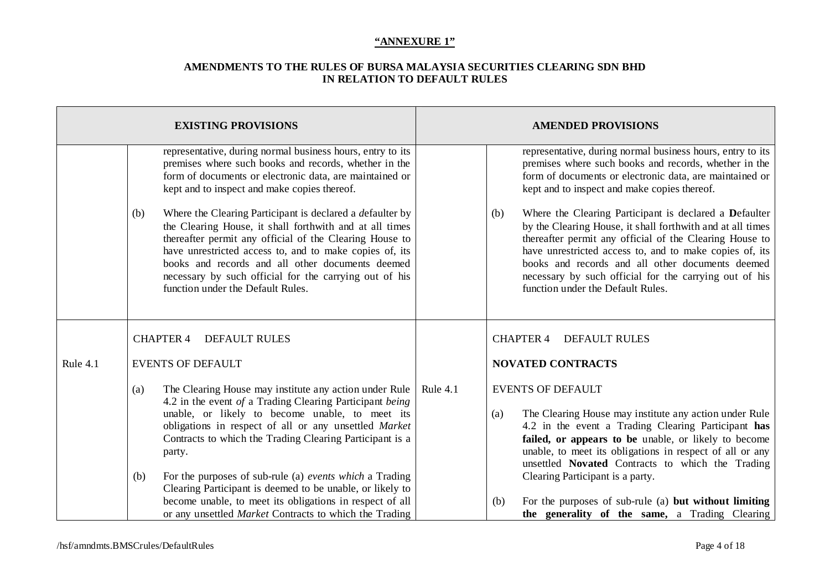|          | <b>EXISTING PROVISIONS</b>                                                                                                                                                                                                                                                                                                                                                                                                                                                                                                                                                                                                             | <b>AMENDED PROVISIONS</b>                                                                                                                                                                                                                                                                                                                                                                                                                                                                                                                                                                                                              |  |  |
|----------|----------------------------------------------------------------------------------------------------------------------------------------------------------------------------------------------------------------------------------------------------------------------------------------------------------------------------------------------------------------------------------------------------------------------------------------------------------------------------------------------------------------------------------------------------------------------------------------------------------------------------------------|----------------------------------------------------------------------------------------------------------------------------------------------------------------------------------------------------------------------------------------------------------------------------------------------------------------------------------------------------------------------------------------------------------------------------------------------------------------------------------------------------------------------------------------------------------------------------------------------------------------------------------------|--|--|
|          | representative, during normal business hours, entry to its<br>premises where such books and records, whether in the<br>form of documents or electronic data, are maintained or<br>kept and to inspect and make copies thereof.<br>Where the Clearing Participant is declared a defaulter by<br>(b)<br>the Clearing House, it shall forthwith and at all times<br>thereafter permit any official of the Clearing House to<br>have unrestricted access to, and to make copies of, its<br>books and records and all other documents deemed<br>necessary by such official for the carrying out of his<br>function under the Default Rules. | representative, during normal business hours, entry to its<br>premises where such books and records, whether in the<br>form of documents or electronic data, are maintained or<br>kept and to inspect and make copies thereof.<br>Where the Clearing Participant is declared a Defaulter<br>(b)<br>by the Clearing House, it shall forthwith and at all times<br>thereafter permit any official of the Clearing House to<br>have unrestricted access to, and to make copies of, its<br>books and records and all other documents deemed<br>necessary by such official for the carrying out of his<br>function under the Default Rules. |  |  |
|          | <b>CHAPTER 4</b><br><b>DEFAULT RULES</b>                                                                                                                                                                                                                                                                                                                                                                                                                                                                                                                                                                                               | <b>CHAPTER 4</b><br><b>DEFAULT RULES</b>                                                                                                                                                                                                                                                                                                                                                                                                                                                                                                                                                                                               |  |  |
| Rule 4.1 | <b>EVENTS OF DEFAULT</b>                                                                                                                                                                                                                                                                                                                                                                                                                                                                                                                                                                                                               | <b>NOVATED CONTRACTS</b>                                                                                                                                                                                                                                                                                                                                                                                                                                                                                                                                                                                                               |  |  |
|          | The Clearing House may institute any action under Rule<br>(a)<br>4.2 in the event of a Trading Clearing Participant being<br>unable, or likely to become unable, to meet its<br>obligations in respect of all or any unsettled Market<br>Contracts to which the Trading Clearing Participant is a<br>party.<br>For the purposes of sub-rule (a) events which a Trading<br>(b)                                                                                                                                                                                                                                                          | <b>EVENTS OF DEFAULT</b><br>Rule 4.1<br>The Clearing House may institute any action under Rule<br>(a)<br>4.2 in the event a Trading Clearing Participant has<br>failed, or appears to be unable, or likely to become<br>unable, to meet its obligations in respect of all or any<br>unsettled Novated Contracts to which the Trading<br>Clearing Participant is a party.                                                                                                                                                                                                                                                               |  |  |
|          | Clearing Participant is deemed to be unable, or likely to<br>become unable, to meet its obligations in respect of all<br>or any unsettled <i>Market</i> Contracts to which the Trading                                                                                                                                                                                                                                                                                                                                                                                                                                                 | For the purposes of sub-rule (a) but without limiting<br>(b)<br>the generality of the same, a Trading Clearing                                                                                                                                                                                                                                                                                                                                                                                                                                                                                                                         |  |  |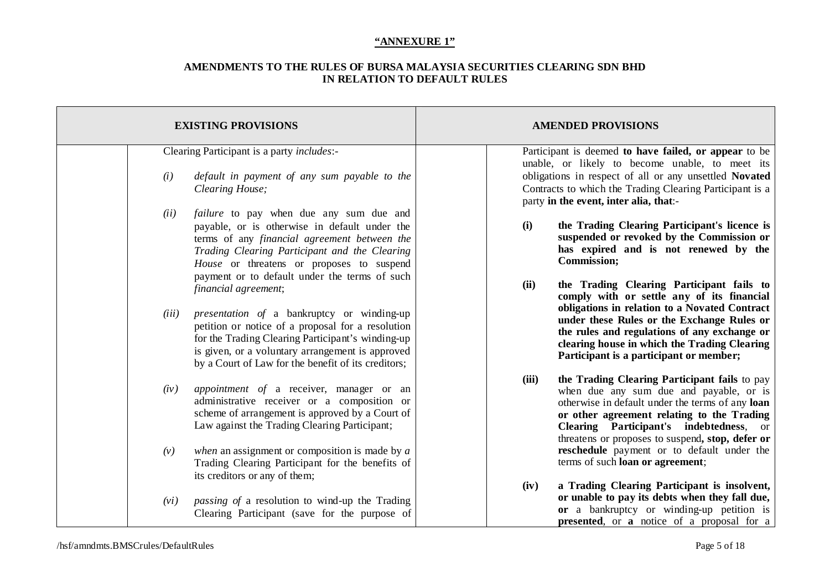| <b>EXISTING PROVISIONS</b>                                                                                                                                                                                                                                                                              | <b>AMENDED PROVISIONS</b>                                                                                                                                                                                                                                                                                                                 |
|---------------------------------------------------------------------------------------------------------------------------------------------------------------------------------------------------------------------------------------------------------------------------------------------------------|-------------------------------------------------------------------------------------------------------------------------------------------------------------------------------------------------------------------------------------------------------------------------------------------------------------------------------------------|
| Clearing Participant is a party <i>includes</i> :-                                                                                                                                                                                                                                                      | Participant is deemed to have failed, or appear to be<br>unable, or likely to become unable, to meet its                                                                                                                                                                                                                                  |
| (i)<br>default in payment of any sum payable to the<br>Clearing House;                                                                                                                                                                                                                                  | obligations in respect of all or any unsettled Novated<br>Contracts to which the Trading Clearing Participant is a<br>party in the event, inter alia, that:-                                                                                                                                                                              |
| (ii)<br><i>failure</i> to pay when due any sum due and<br>payable, or is otherwise in default under the<br>terms of any financial agreement between the<br>Trading Clearing Participant and the Clearing<br>House or threatens or proposes to suspend<br>payment or to default under the terms of such  | the Trading Clearing Participant's licence is<br>(i)<br>suspended or revoked by the Commission or<br>has expired and is not renewed by the<br><b>Commission;</b>                                                                                                                                                                          |
| financial agreement;<br>(iii)<br><i>presentation of a bankruptcy or winding-up</i><br>petition or notice of a proposal for a resolution<br>for the Trading Clearing Participant's winding-up<br>is given, or a voluntary arrangement is approved<br>by a Court of Law for the benefit of its creditors; | the Trading Clearing Participant fails to<br>(ii)<br>comply with or settle any of its financial<br>obligations in relation to a Novated Contract<br>under these Rules or the Exchange Rules or<br>the rules and regulations of any exchange or<br>clearing house in which the Trading Clearing<br>Participant is a participant or member; |
| appointment of a receiver, manager or an<br>(iv)<br>administrative receiver or a composition or<br>scheme of arrangement is approved by a Court of<br>Law against the Trading Clearing Participant;                                                                                                     | (iii)<br>the Trading Clearing Participant fails to pay<br>when due any sum due and payable, or is<br>otherwise in default under the terms of any loan<br>or other agreement relating to the Trading<br>Clearing Participant's indebtedness, or<br>threatens or proposes to suspend, stop, defer or                                        |
| when an assignment or composition is made by $a$<br>(v)<br>Trading Clearing Participant for the benefits of<br>its creditors or any of them;                                                                                                                                                            | reschedule payment or to default under the<br>terms of such loan or agreement;<br>a Trading Clearing Participant is insolvent,<br>(iv)                                                                                                                                                                                                    |
| <i>passing of a resolution to wind-up the Trading</i><br>(vi)<br>Clearing Participant (save for the purpose of                                                                                                                                                                                          | or unable to pay its debts when they fall due,<br>or a bankruptcy or winding-up petition is<br><b>presented</b> , or <b>a</b> notice of a proposal for a                                                                                                                                                                                  |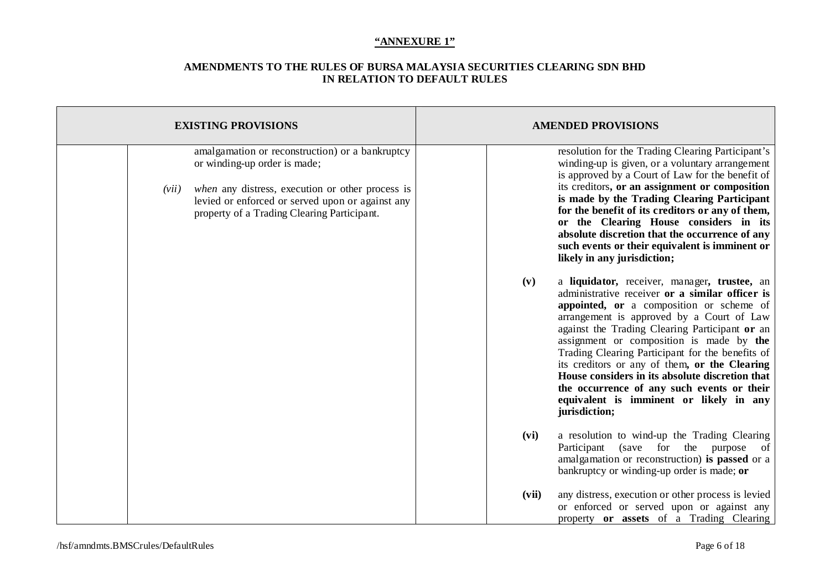|       | <b>EXISTING PROVISIONS</b>                                                                                                                                                                                                             |       | <b>AMENDED PROVISIONS</b>                                                                                                                                                                                                                                                                                                                                                                                                                                                                                                                                |
|-------|----------------------------------------------------------------------------------------------------------------------------------------------------------------------------------------------------------------------------------------|-------|----------------------------------------------------------------------------------------------------------------------------------------------------------------------------------------------------------------------------------------------------------------------------------------------------------------------------------------------------------------------------------------------------------------------------------------------------------------------------------------------------------------------------------------------------------|
| (vii) | amalgamation or reconstruction) or a bankruptcy<br>or winding-up order is made;<br>when any distress, execution or other process is<br>levied or enforced or served upon or against any<br>property of a Trading Clearing Participant. |       | resolution for the Trading Clearing Participant's<br>winding-up is given, or a voluntary arrangement<br>is approved by a Court of Law for the benefit of<br>its creditors, or an assignment or composition<br>is made by the Trading Clearing Participant<br>for the benefit of its creditors or any of them,<br>or the Clearing House considers in its<br>absolute discretion that the occurrence of any<br>such events or their equivalent is imminent or<br>likely in any jurisdiction;                                                               |
|       |                                                                                                                                                                                                                                        | (v)   | a liquidator, receiver, manager, trustee, an<br>administrative receiver or a similar officer is<br>appointed, or a composition or scheme of<br>arrangement is approved by a Court of Law<br>against the Trading Clearing Participant or an<br>assignment or composition is made by the<br>Trading Clearing Participant for the benefits of<br>its creditors or any of them, or the Clearing<br>House considers in its absolute discretion that<br>the occurrence of any such events or their<br>equivalent is imminent or likely in any<br>jurisdiction; |
|       |                                                                                                                                                                                                                                        | (vi)  | a resolution to wind-up the Trading Clearing<br>Participant (save for the purpose of<br>amalgamation or reconstruction) is passed or a<br>bankruptcy or winding-up order is made; or                                                                                                                                                                                                                                                                                                                                                                     |
|       |                                                                                                                                                                                                                                        | (vii) | any distress, execution or other process is levied<br>or enforced or served upon or against any<br>property or assets of a Trading Clearing                                                                                                                                                                                                                                                                                                                                                                                                              |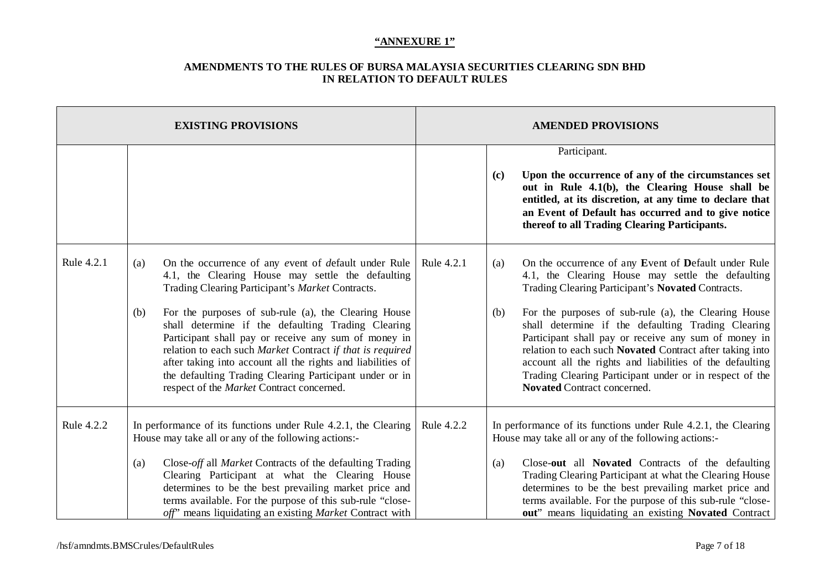| <b>EXISTING PROVISIONS</b> |                                                                                                                                                                                                                                                                                                                                                                                                                               |                                                                                                                                                                                                                                                                                                                                                                                                                                                                                                                                                                                | <b>AMENDED PROVISIONS</b> |            |                                                                                                                                                                                                                                                                                                                                                                                                                                                                                                                                                               |
|----------------------------|-------------------------------------------------------------------------------------------------------------------------------------------------------------------------------------------------------------------------------------------------------------------------------------------------------------------------------------------------------------------------------------------------------------------------------|--------------------------------------------------------------------------------------------------------------------------------------------------------------------------------------------------------------------------------------------------------------------------------------------------------------------------------------------------------------------------------------------------------------------------------------------------------------------------------------------------------------------------------------------------------------------------------|---------------------------|------------|---------------------------------------------------------------------------------------------------------------------------------------------------------------------------------------------------------------------------------------------------------------------------------------------------------------------------------------------------------------------------------------------------------------------------------------------------------------------------------------------------------------------------------------------------------------|
|                            |                                                                                                                                                                                                                                                                                                                                                                                                                               |                                                                                                                                                                                                                                                                                                                                                                                                                                                                                                                                                                                |                           | (c)        | Participant.<br>Upon the occurrence of any of the circumstances set<br>out in Rule 4.1(b), the Clearing House shall be<br>entitled, at its discretion, at any time to declare that<br>an Event of Default has occurred and to give notice<br>thereof to all Trading Clearing Participants.                                                                                                                                                                                                                                                                    |
| Rule 4.2.1                 | (a)<br>(b)                                                                                                                                                                                                                                                                                                                                                                                                                    | On the occurrence of any event of default under Rule<br>4.1, the Clearing House may settle the defaulting<br>Trading Clearing Participant's Market Contracts.<br>For the purposes of sub-rule (a), the Clearing House<br>shall determine if the defaulting Trading Clearing<br>Participant shall pay or receive any sum of money in<br>relation to each such Market Contract if that is required<br>after taking into account all the rights and liabilities of<br>the defaulting Trading Clearing Participant under or in<br>respect of the <i>Market</i> Contract concerned. | Rule 4.2.1                | (a)<br>(b) | On the occurrence of any Event of Default under Rule<br>4.1, the Clearing House may settle the defaulting<br>Trading Clearing Participant's Novated Contracts.<br>For the purposes of sub-rule (a), the Clearing House<br>shall determine if the defaulting Trading Clearing<br>Participant shall pay or receive any sum of money in<br>relation to each such Novated Contract after taking into<br>account all the rights and liabilities of the defaulting<br>Trading Clearing Participant under or in respect of the<br><b>Novated Contract concerned.</b> |
| Rule 4.2.2                 | In performance of its functions under Rule 4.2.1, the Clearing<br>House may take all or any of the following actions:-<br>Close-off all Market Contracts of the defaulting Trading<br>(a)<br>Clearing Participant at what the Clearing House<br>determines to be the best prevailing market price and<br>terms available. For the purpose of this sub-rule "close-<br>off" means liquidating an existing Market Contract with |                                                                                                                                                                                                                                                                                                                                                                                                                                                                                                                                                                                | Rule 4.2.2                | (a)        | In performance of its functions under Rule 4.2.1, the Clearing<br>House may take all or any of the following actions:-<br>Close-out all Novated Contracts of the defaulting<br>Trading Clearing Participant at what the Clearing House<br>determines to be the best prevailing market price and<br>terms available. For the purpose of this sub-rule "close-<br>out" means liquidating an existing Novated Contract                                                                                                                                           |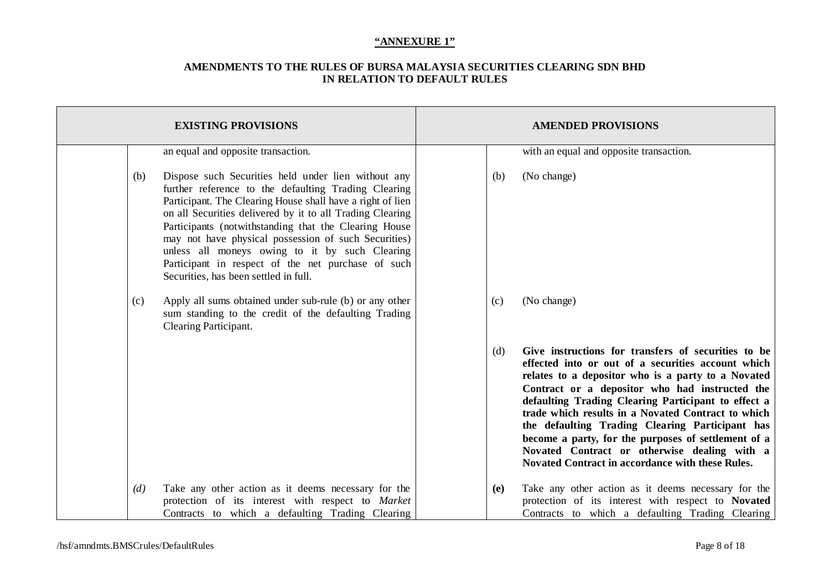|     | <b>EXISTING PROVISIONS</b>                                                                                                                                                                                                                                                                                                                                                                                                                                                                               | <b>AMENDED PROVISIONS</b> |     |                                                                                                                                                                                                                                                                                                                                                                                                                                                                                                                                              |
|-----|----------------------------------------------------------------------------------------------------------------------------------------------------------------------------------------------------------------------------------------------------------------------------------------------------------------------------------------------------------------------------------------------------------------------------------------------------------------------------------------------------------|---------------------------|-----|----------------------------------------------------------------------------------------------------------------------------------------------------------------------------------------------------------------------------------------------------------------------------------------------------------------------------------------------------------------------------------------------------------------------------------------------------------------------------------------------------------------------------------------------|
|     | an equal and opposite transaction.                                                                                                                                                                                                                                                                                                                                                                                                                                                                       |                           |     | with an equal and opposite transaction.                                                                                                                                                                                                                                                                                                                                                                                                                                                                                                      |
| (b) | Dispose such Securities held under lien without any<br>further reference to the defaulting Trading Clearing<br>Participant. The Clearing House shall have a right of lien<br>on all Securities delivered by it to all Trading Clearing<br>Participants (notwithstanding that the Clearing House<br>may not have physical possession of such Securities)<br>unless all moneys owing to it by such Clearing<br>Participant in respect of the net purchase of such<br>Securities, has been settled in full. |                           | (b) | (No change)                                                                                                                                                                                                                                                                                                                                                                                                                                                                                                                                  |
| (c) | Apply all sums obtained under sub-rule (b) or any other<br>sum standing to the credit of the defaulting Trading<br>Clearing Participant.                                                                                                                                                                                                                                                                                                                                                                 |                           | (c) | (No change)                                                                                                                                                                                                                                                                                                                                                                                                                                                                                                                                  |
|     |                                                                                                                                                                                                                                                                                                                                                                                                                                                                                                          |                           | (d) | Give instructions for transfers of securities to be<br>effected into or out of a securities account which<br>relates to a depositor who is a party to a Novated<br>Contract or a depositor who had instructed the<br>defaulting Trading Clearing Participant to effect a<br>trade which results in a Novated Contract to which<br>the defaulting Trading Clearing Participant has<br>become a party, for the purposes of settlement of a<br>Novated Contract or otherwise dealing with a<br>Novated Contract in accordance with these Rules. |
| (d) | Take any other action as it deems necessary for the<br>protection of its interest with respect to Market<br>Contracts to which a defaulting Trading Clearing                                                                                                                                                                                                                                                                                                                                             |                           | (e) | Take any other action as it deems necessary for the<br>protection of its interest with respect to Novated<br>Contracts to which a defaulting Trading Clearing                                                                                                                                                                                                                                                                                                                                                                                |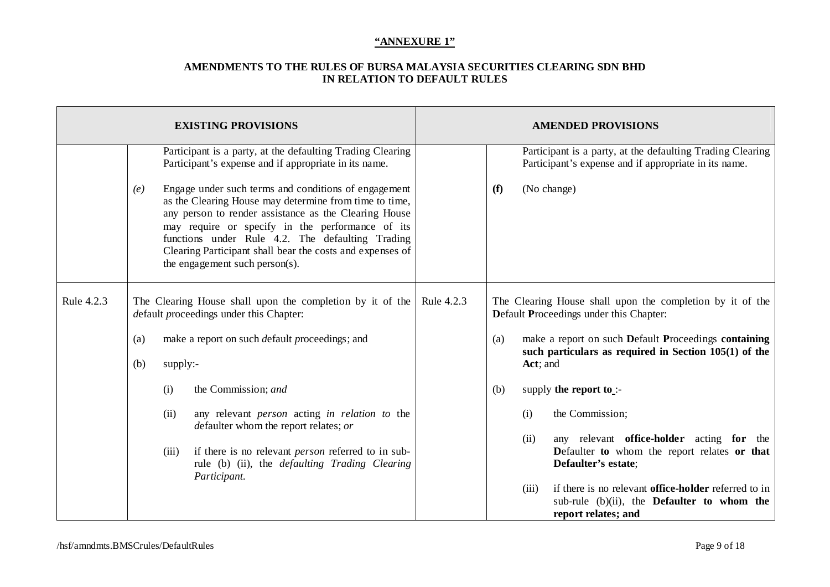| <b>EXISTING PROVISIONS</b> |            |          |                                                                                                                                                                                                                                                                                                                                                                                |            |                                                                                                      | <b>AMENDED PROVISIONS</b> |                                                                                                                                          |
|----------------------------|------------|----------|--------------------------------------------------------------------------------------------------------------------------------------------------------------------------------------------------------------------------------------------------------------------------------------------------------------------------------------------------------------------------------|------------|------------------------------------------------------------------------------------------------------|---------------------------|------------------------------------------------------------------------------------------------------------------------------------------|
|                            |            |          | Participant is a party, at the defaulting Trading Clearing<br>Participant's expense and if appropriate in its name.                                                                                                                                                                                                                                                            |            |                                                                                                      |                           | Participant is a party, at the defaulting Trading Clearing<br>Participant's expense and if appropriate in its name.                      |
|                            | (e)        |          | Engage under such terms and conditions of engagement<br>as the Clearing House may determine from time to time,<br>any person to render assistance as the Clearing House<br>may require or specify in the performance of its<br>functions under Rule 4.2. The defaulting Trading<br>Clearing Participant shall bear the costs and expenses of<br>the engagement such person(s). |            | (f)                                                                                                  |                           | (No change)                                                                                                                              |
| Rule 4.2.3                 |            |          | The Clearing House shall upon the completion by it of the<br>default proceedings under this Chapter:                                                                                                                                                                                                                                                                           | Rule 4.2.3 | The Clearing House shall upon the completion by it of the<br>Default Proceedings under this Chapter: |                           |                                                                                                                                          |
|                            | (a)<br>(b) | supply:- | make a report on such default proceedings; and                                                                                                                                                                                                                                                                                                                                 |            | (a)<br>Act; and                                                                                      |                           | make a report on such Default Proceedings containing<br>such particulars as required in Section $105(1)$ of the                          |
|                            |            | (i)      | the Commission; and                                                                                                                                                                                                                                                                                                                                                            |            | (b)                                                                                                  |                           | supply the report to $\cdot$ -                                                                                                           |
|                            |            | (ii)     | any relevant person acting in relation to the<br>defaulter whom the report relates; or                                                                                                                                                                                                                                                                                         |            |                                                                                                      | (i)<br>(ii)               | the Commission;<br>any relevant office-holder acting for the                                                                             |
|                            |            | (iii)    | if there is no relevant <i>person</i> referred to in sub-<br>rule (b) (ii), the <i>defaulting Trading Clearing</i><br>Participant.                                                                                                                                                                                                                                             |            |                                                                                                      |                           | Defaulter to whom the report relates or that<br>Defaulter's estate;                                                                      |
|                            |            |          |                                                                                                                                                                                                                                                                                                                                                                                |            |                                                                                                      | (iii)                     | if there is no relevant <b>office-holder</b> referred to in<br>sub-rule (b)(ii), the <b>Defaulter</b> to whom the<br>report relates; and |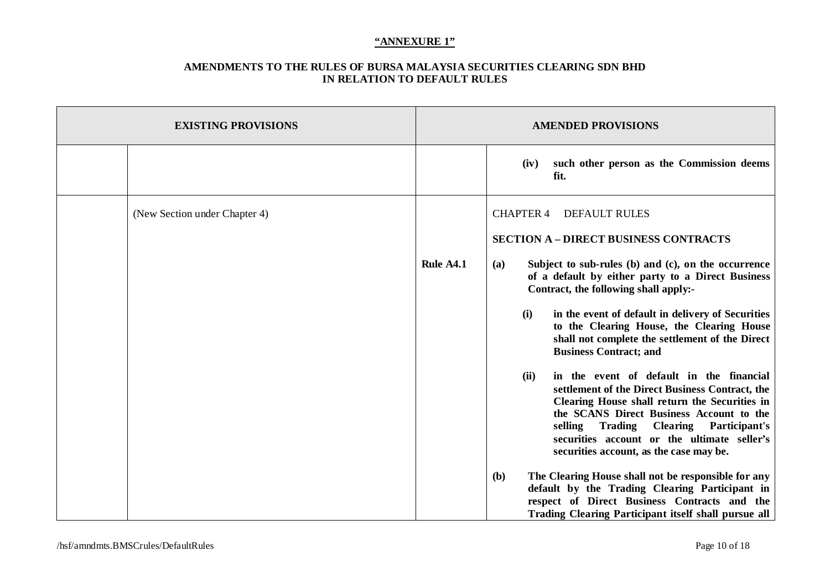| <b>EXISTING PROVISIONS</b>    | <b>AMENDED PROVISIONS</b> |                                                                                                                                                                                                                                                                                                                                                                                                                                                                                                                                                                                                                                                                                                                                                                                                                                                                                                                                                                                                                                 |  |
|-------------------------------|---------------------------|---------------------------------------------------------------------------------------------------------------------------------------------------------------------------------------------------------------------------------------------------------------------------------------------------------------------------------------------------------------------------------------------------------------------------------------------------------------------------------------------------------------------------------------------------------------------------------------------------------------------------------------------------------------------------------------------------------------------------------------------------------------------------------------------------------------------------------------------------------------------------------------------------------------------------------------------------------------------------------------------------------------------------------|--|
|                               |                           | such other person as the Commission deems<br>(iv)<br>fit.                                                                                                                                                                                                                                                                                                                                                                                                                                                                                                                                                                                                                                                                                                                                                                                                                                                                                                                                                                       |  |
| (New Section under Chapter 4) | Rule A4.1                 | <b>CHAPTER 4</b><br><b>DEFAULT RULES</b><br><b>SECTION A - DIRECT BUSINESS CONTRACTS</b><br>Subject to sub-rules (b) and (c), on the occurrence<br>(a)<br>of a default by either party to a Direct Business<br>Contract, the following shall apply:-<br>(i)<br>in the event of default in delivery of Securities<br>to the Clearing House, the Clearing House<br>shall not complete the settlement of the Direct<br><b>Business Contract; and</b><br>in the event of default in the financial<br>(ii)<br>settlement of the Direct Business Contract, the<br>Clearing House shall return the Securities in<br>the SCANS Direct Business Account to the<br>selling Trading Clearing Participant's<br>securities account or the ultimate seller's<br>securities account, as the case may be.<br>The Clearing House shall not be responsible for any<br><b>(b)</b><br>default by the Trading Clearing Participant in<br>respect of Direct Business Contracts and the<br><b>Trading Clearing Participant itself shall pursue all</b> |  |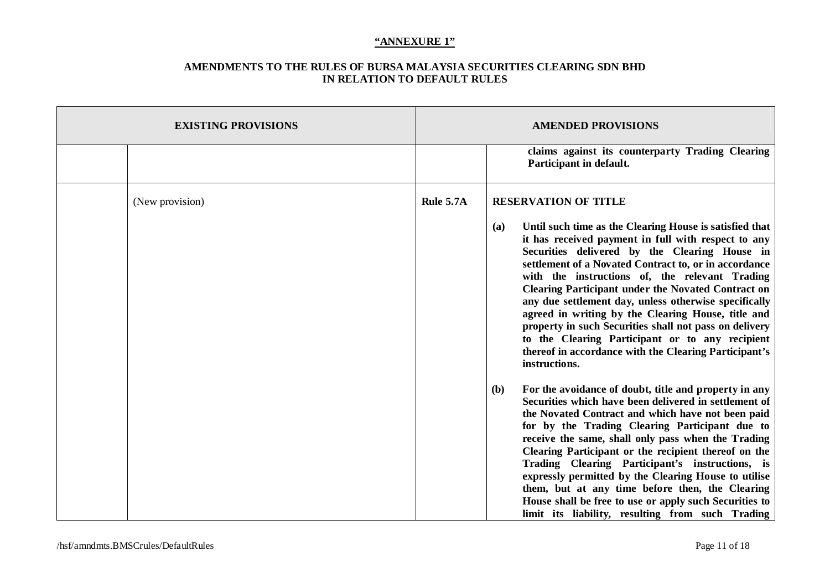| <b>EXISTING PROVISIONS</b> |           | <b>AMENDED PROVISIONS</b>                                                                                                                                                                                                                                                                                                                                                                                                                                                                                                                                                                                                                            |  |  |
|----------------------------|-----------|------------------------------------------------------------------------------------------------------------------------------------------------------------------------------------------------------------------------------------------------------------------------------------------------------------------------------------------------------------------------------------------------------------------------------------------------------------------------------------------------------------------------------------------------------------------------------------------------------------------------------------------------------|--|--|
|                            |           | claims against its counterparty Trading Clearing<br>Participant in default.                                                                                                                                                                                                                                                                                                                                                                                                                                                                                                                                                                          |  |  |
| (New provision)            | Rule 5.7A | <b>RESERVATION OF TITLE</b>                                                                                                                                                                                                                                                                                                                                                                                                                                                                                                                                                                                                                          |  |  |
|                            |           | Until such time as the Clearing House is satisfied that<br>(a)<br>it has received payment in full with respect to any<br>Securities delivered by the Clearing House in<br>settlement of a Novated Contract to, or in accordance<br>with the instructions of, the relevant Trading<br><b>Clearing Participant under the Novated Contract on</b><br>any due settlement day, unless otherwise specifically<br>agreed in writing by the Clearing House, title and<br>property in such Securities shall not pass on delivery<br>to the Clearing Participant or to any recipient<br>thereof in accordance with the Clearing Participant's<br>instructions. |  |  |
|                            |           | For the avoidance of doubt, title and property in any<br><b>(b)</b><br>Securities which have been delivered in settlement of<br>the Novated Contract and which have not been paid<br>for by the Trading Clearing Participant due to<br>receive the same, shall only pass when the Trading<br>Clearing Participant or the recipient thereof on the<br>Trading Clearing Participant's instructions, is<br>expressly permitted by the Clearing House to utilise<br>them, but at any time before then, the Clearing<br>House shall be free to use or apply such Securities to<br>limit its liability, resulting from such Trading                        |  |  |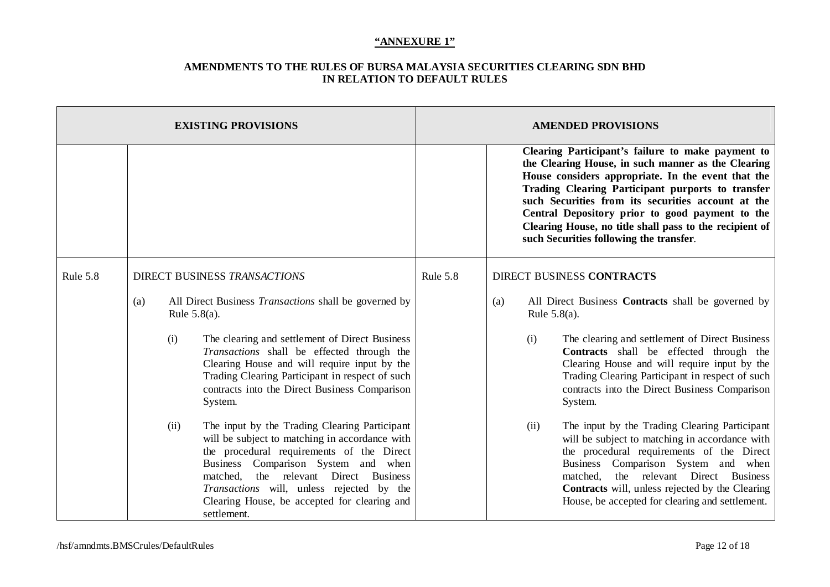| <b>EXISTING PROVISIONS</b> |      |                                                                                                                                                                                                                                                                                                                                             | <b>AMENDED PROVISIONS</b> |                                                                                                                                                                                                                                                                                                                                                                                                                                   |                                                                                                                                                                                                                                                                                                                                              |
|----------------------------|------|---------------------------------------------------------------------------------------------------------------------------------------------------------------------------------------------------------------------------------------------------------------------------------------------------------------------------------------------|---------------------------|-----------------------------------------------------------------------------------------------------------------------------------------------------------------------------------------------------------------------------------------------------------------------------------------------------------------------------------------------------------------------------------------------------------------------------------|----------------------------------------------------------------------------------------------------------------------------------------------------------------------------------------------------------------------------------------------------------------------------------------------------------------------------------------------|
|                            |      |                                                                                                                                                                                                                                                                                                                                             |                           | Clearing Participant's failure to make payment to<br>the Clearing House, in such manner as the Clearing<br>House considers appropriate. In the event that the<br>Trading Clearing Participant purports to transfer<br>such Securities from its securities account at the<br>Central Depository prior to good payment to the<br>Clearing House, no title shall pass to the recipient of<br>such Securities following the transfer. |                                                                                                                                                                                                                                                                                                                                              |
| Rule 5.8                   |      | DIRECT BUSINESS TRANSACTIONS                                                                                                                                                                                                                                                                                                                | Rule 5.8                  |                                                                                                                                                                                                                                                                                                                                                                                                                                   | DIRECT BUSINESS CONTRACTS                                                                                                                                                                                                                                                                                                                    |
|                            | (a)  | All Direct Business <i>Transactions</i> shall be governed by<br>Rule $5.8(a)$ .                                                                                                                                                                                                                                                             |                           | All Direct Business Contracts shall be governed by<br>(a)<br>Rule $5.8(a)$ .                                                                                                                                                                                                                                                                                                                                                      |                                                                                                                                                                                                                                                                                                                                              |
|                            | (i)  | The clearing and settlement of Direct Business<br>Transactions shall be effected through the<br>Clearing House and will require input by the<br>Trading Clearing Participant in respect of such<br>contracts into the Direct Business Comparison<br>System.                                                                                 |                           | (i)                                                                                                                                                                                                                                                                                                                                                                                                                               | The clearing and settlement of Direct Business<br>Contracts shall be effected through the<br>Clearing House and will require input by the<br>Trading Clearing Participant in respect of such<br>contracts into the Direct Business Comparison<br>System.                                                                                     |
|                            | (ii) | The input by the Trading Clearing Participant<br>will be subject to matching in accordance with<br>the procedural requirements of the Direct<br>Business Comparison System and when<br>the relevant Direct Business<br>matched,<br>Transactions will, unless rejected by the<br>Clearing House, be accepted for clearing and<br>settlement. |                           | (ii)                                                                                                                                                                                                                                                                                                                                                                                                                              | The input by the Trading Clearing Participant<br>will be subject to matching in accordance with<br>the procedural requirements of the Direct<br>Business Comparison System and when<br>the relevant Direct Business<br>matched.<br><b>Contracts</b> will, unless rejected by the Clearing<br>House, be accepted for clearing and settlement. |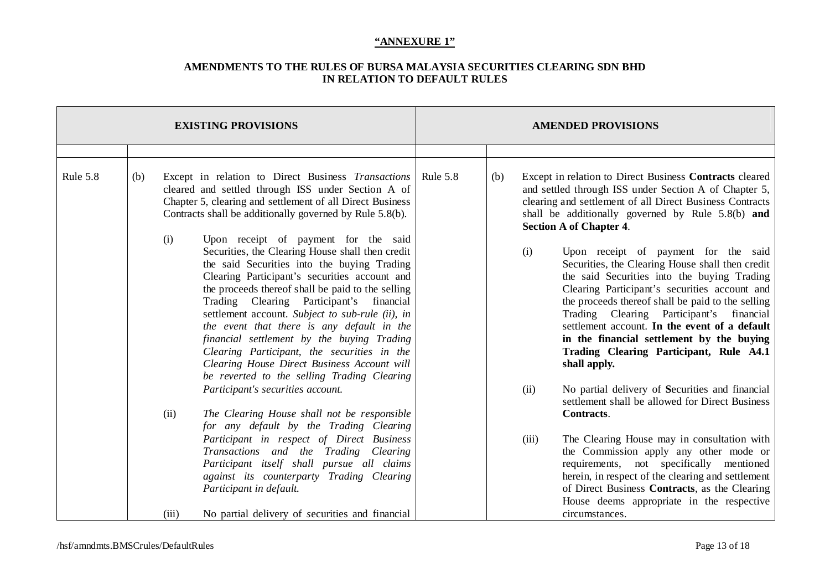| <b>EXISTING PROVISIONS</b> |     |       |                                                                                                                                                                                                                                                                                                                                                                                                                                                                                                                                                                                                                                  |          |     | <b>AMENDED PROVISIONS</b> |                                                                                                                                                                                                                                                                                                                                                                                                                                                                                                                                                                                                                   |
|----------------------------|-----|-------|----------------------------------------------------------------------------------------------------------------------------------------------------------------------------------------------------------------------------------------------------------------------------------------------------------------------------------------------------------------------------------------------------------------------------------------------------------------------------------------------------------------------------------------------------------------------------------------------------------------------------------|----------|-----|---------------------------|-------------------------------------------------------------------------------------------------------------------------------------------------------------------------------------------------------------------------------------------------------------------------------------------------------------------------------------------------------------------------------------------------------------------------------------------------------------------------------------------------------------------------------------------------------------------------------------------------------------------|
|                            |     |       |                                                                                                                                                                                                                                                                                                                                                                                                                                                                                                                                                                                                                                  |          |     |                           |                                                                                                                                                                                                                                                                                                                                                                                                                                                                                                                                                                                                                   |
| Rule 5.8                   | (b) | (i)   | Except in relation to Direct Business Transactions<br>cleared and settled through ISS under Section A of<br>Chapter 5, clearing and settlement of all Direct Business<br>Contracts shall be additionally governed by Rule 5.8(b).<br>Upon receipt of payment for the said<br>Securities, the Clearing House shall then credit<br>the said Securities into the buying Trading<br>Clearing Participant's securities account and<br>the proceeds thereof shall be paid to the selling<br>Trading Clearing Participant's financial<br>settlement account. Subject to sub-rule (ii), in<br>the event that there is any default in the | Rule 5.8 | (b) | (i)                       | Except in relation to Direct Business Contracts cleared<br>and settled through ISS under Section A of Chapter 5,<br>clearing and settlement of all Direct Business Contracts<br>shall be additionally governed by Rule 5.8(b) and<br><b>Section A of Chapter 4.</b><br>Upon receipt of payment for the said<br>Securities, the Clearing House shall then credit<br>the said Securities into the buying Trading<br>Clearing Participant's securities account and<br>the proceeds thereof shall be paid to the selling<br>Trading Clearing Participant's financial<br>settlement account. In the event of a default |
|                            |     |       | financial settlement by the buying Trading<br>Clearing Participant, the securities in the<br>Clearing House Direct Business Account will<br>be reverted to the selling Trading Clearing<br>Participant's securities account.                                                                                                                                                                                                                                                                                                                                                                                                     |          |     | (ii)                      | in the financial settlement by the buying<br>Trading Clearing Participant, Rule A4.1<br>shall apply.<br>No partial delivery of Securities and financial                                                                                                                                                                                                                                                                                                                                                                                                                                                           |
|                            |     | (ii)  | The Clearing House shall not be responsible<br>for any default by the Trading Clearing                                                                                                                                                                                                                                                                                                                                                                                                                                                                                                                                           |          |     |                           | settlement shall be allowed for Direct Business<br>Contracts.                                                                                                                                                                                                                                                                                                                                                                                                                                                                                                                                                     |
|                            |     |       | Participant in respect of Direct Business<br>Transactions and the Trading Clearing<br>Participant itself shall pursue all claims<br>against its counterparty Trading Clearing<br>Participant in default.                                                                                                                                                                                                                                                                                                                                                                                                                         |          |     | (iii)                     | The Clearing House may in consultation with<br>the Commission apply any other mode or<br>requirements, not specifically mentioned<br>herein, in respect of the clearing and settlement<br>of Direct Business Contracts, as the Clearing<br>House deems appropriate in the respective                                                                                                                                                                                                                                                                                                                              |
|                            |     | (iii) | No partial delivery of securities and financial                                                                                                                                                                                                                                                                                                                                                                                                                                                                                                                                                                                  |          |     |                           | circumstances.                                                                                                                                                                                                                                                                                                                                                                                                                                                                                                                                                                                                    |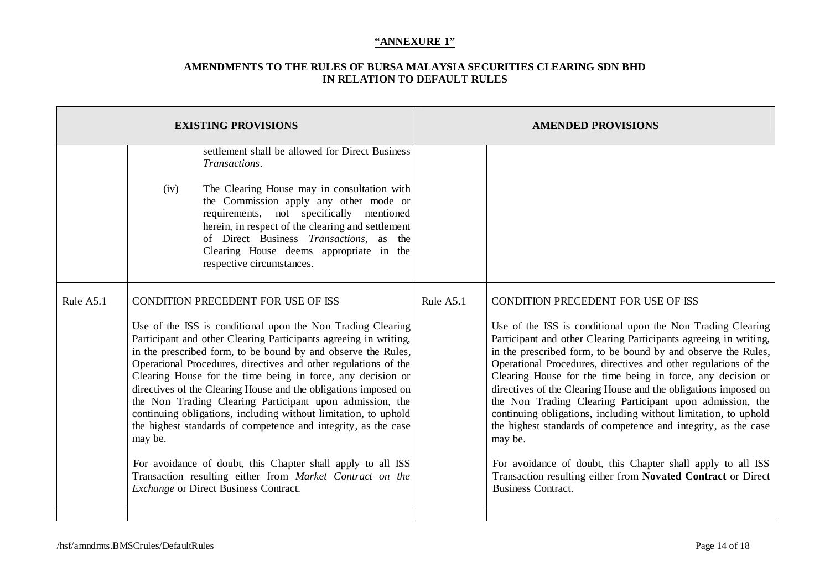| <b>EXISTING PROVISIONS</b> |                                                                                                                                                                                                                                                                                                                                                                                                                                                                                                                                                                                                                                                                                                                                                                                                                             |                                                                                                                                                                                                                                                                                                                                                                               | <b>AMENDED PROVISIONS</b> |                                                                                                                                                                                                                                                                                                                                                                                                                                                                                                                                                                                                                                                                                                                                                                                                                     |  |
|----------------------------|-----------------------------------------------------------------------------------------------------------------------------------------------------------------------------------------------------------------------------------------------------------------------------------------------------------------------------------------------------------------------------------------------------------------------------------------------------------------------------------------------------------------------------------------------------------------------------------------------------------------------------------------------------------------------------------------------------------------------------------------------------------------------------------------------------------------------------|-------------------------------------------------------------------------------------------------------------------------------------------------------------------------------------------------------------------------------------------------------------------------------------------------------------------------------------------------------------------------------|---------------------------|---------------------------------------------------------------------------------------------------------------------------------------------------------------------------------------------------------------------------------------------------------------------------------------------------------------------------------------------------------------------------------------------------------------------------------------------------------------------------------------------------------------------------------------------------------------------------------------------------------------------------------------------------------------------------------------------------------------------------------------------------------------------------------------------------------------------|--|
|                            | (iv)                                                                                                                                                                                                                                                                                                                                                                                                                                                                                                                                                                                                                                                                                                                                                                                                                        | settlement shall be allowed for Direct Business<br>Transactions.<br>The Clearing House may in consultation with<br>the Commission apply any other mode or<br>requirements, not specifically mentioned<br>herein, in respect of the clearing and settlement<br>of Direct Business Transactions, as the<br>Clearing House deems appropriate in the<br>respective circumstances. |                           |                                                                                                                                                                                                                                                                                                                                                                                                                                                                                                                                                                                                                                                                                                                                                                                                                     |  |
| Rule A5.1                  | CONDITION PRECEDENT FOR USE OF ISS<br>Use of the ISS is conditional upon the Non Trading Clearing<br>Participant and other Clearing Participants agreeing in writing,<br>in the prescribed form, to be bound by and observe the Rules,<br>Operational Procedures, directives and other regulations of the<br>Clearing House for the time being in force, any decision or<br>directives of the Clearing House and the obligations imposed on<br>the Non Trading Clearing Participant upon admission, the<br>continuing obligations, including without limitation, to uphold<br>the highest standards of competence and integrity, as the case<br>may be.<br>For avoidance of doubt, this Chapter shall apply to all ISS<br>Transaction resulting either from Market Contract on the<br>Exchange or Direct Business Contract. |                                                                                                                                                                                                                                                                                                                                                                               | Rule A5.1                 | CONDITION PRECEDENT FOR USE OF ISS<br>Use of the ISS is conditional upon the Non Trading Clearing<br>Participant and other Clearing Participants agreeing in writing,<br>in the prescribed form, to be bound by and observe the Rules,<br>Operational Procedures, directives and other regulations of the<br>Clearing House for the time being in force, any decision or<br>directives of the Clearing House and the obligations imposed on<br>the Non Trading Clearing Participant upon admission, the<br>continuing obligations, including without limitation, to uphold<br>the highest standards of competence and integrity, as the case<br>may be.<br>For avoidance of doubt, this Chapter shall apply to all ISS<br>Transaction resulting either from Novated Contract or Direct<br><b>Business Contract.</b> |  |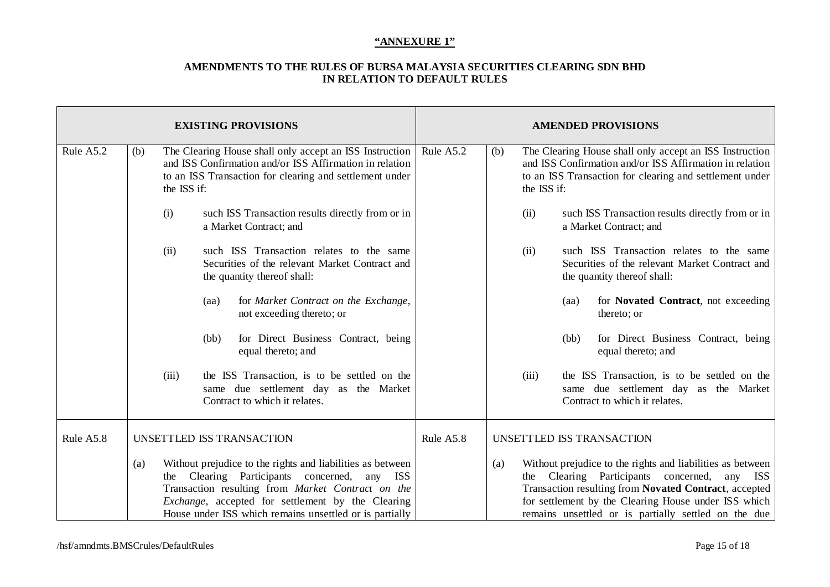| <b>EXISTING PROVISIONS</b> |                    |                                                                                                                                                                                                                                                                                               | <b>AMENDED PROVISIONS</b> |            |                                                                                                                                                                                                                                                                                    |
|----------------------------|--------------------|-----------------------------------------------------------------------------------------------------------------------------------------------------------------------------------------------------------------------------------------------------------------------------------------------|---------------------------|------------|------------------------------------------------------------------------------------------------------------------------------------------------------------------------------------------------------------------------------------------------------------------------------------|
| Rule A5.2                  | (b)<br>the ISS if: | The Clearing House shall only accept an ISS Instruction<br>and ISS Confirmation and/or ISS Affirmation in relation<br>to an ISS Transaction for clearing and settlement under                                                                                                                 | Rule A5.2                 | (b)        | The Clearing House shall only accept an ISS Instruction<br>and ISS Confirmation and/or ISS Affirmation in relation<br>to an ISS Transaction for clearing and settlement under<br>the ISS if:                                                                                       |
|                            | (i)                | such ISS Transaction results directly from or in<br>a Market Contract; and                                                                                                                                                                                                                    |                           | (ii)       | such ISS Transaction results directly from or in<br>a Market Contract; and                                                                                                                                                                                                         |
|                            | (ii)               | such ISS Transaction relates to the same<br>Securities of the relevant Market Contract and<br>the quantity thereof shall:                                                                                                                                                                     |                           | (ii)       | such ISS Transaction relates to the same<br>Securities of the relevant Market Contract and<br>the quantity thereof shall:                                                                                                                                                          |
|                            |                    | for Market Contract on the Exchange,<br>(aa)<br>not exceeding thereto; or                                                                                                                                                                                                                     |                           |            | for Novated Contract, not exceeding<br>(aa)<br>thereto; or                                                                                                                                                                                                                         |
|                            |                    | for Direct Business Contract, being<br>(bb)<br>equal thereto; and                                                                                                                                                                                                                             |                           |            | for Direct Business Contract, being<br>(bb)<br>equal thereto; and                                                                                                                                                                                                                  |
|                            | (iii)              | the ISS Transaction, is to be settled on the<br>same due settlement day as the Market<br>Contract to which it relates.                                                                                                                                                                        |                           | (iii)      | the ISS Transaction, is to be settled on the<br>same due settlement day as the Market<br>Contract to which it relates.                                                                                                                                                             |
| Rule A5.8                  |                    | UNSETTLED ISS TRANSACTION                                                                                                                                                                                                                                                                     | Rule A5.8                 |            | UNSETTLED ISS TRANSACTION                                                                                                                                                                                                                                                          |
|                            | (a)<br>the         | Without prejudice to the rights and liabilities as between<br>Clearing Participants concerned, any<br><b>ISS</b><br>Transaction resulting from Market Contract on the<br><i>Exchange</i> , accepted for settlement by the Clearing<br>House under ISS which remains unsettled or is partially |                           | (a)<br>the | Without prejudice to the rights and liabilities as between<br>Clearing Participants concerned,<br>any ISS<br>Transaction resulting from Novated Contract, accepted<br>for settlement by the Clearing House under ISS which<br>remains unsettled or is partially settled on the due |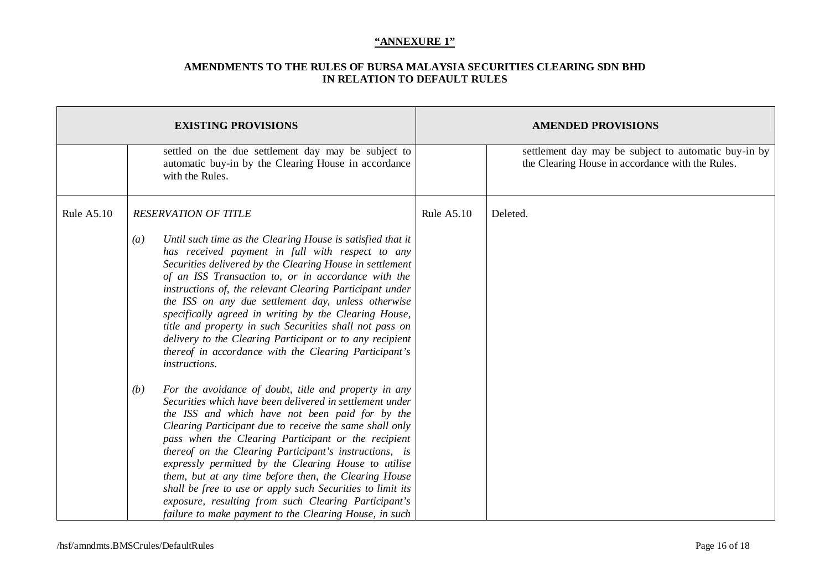|                   | <b>EXISTING PROVISIONS</b>                                                                                                                                                                                                                                                                                                                                                                                                                                                                                                                                                                                                                               | <b>AMENDED PROVISIONS</b> |                                                                                                          |  |
|-------------------|----------------------------------------------------------------------------------------------------------------------------------------------------------------------------------------------------------------------------------------------------------------------------------------------------------------------------------------------------------------------------------------------------------------------------------------------------------------------------------------------------------------------------------------------------------------------------------------------------------------------------------------------------------|---------------------------|----------------------------------------------------------------------------------------------------------|--|
|                   | settled on the due settlement day may be subject to<br>automatic buy-in by the Clearing House in accordance<br>with the Rules.                                                                                                                                                                                                                                                                                                                                                                                                                                                                                                                           |                           | settlement day may be subject to automatic buy-in by<br>the Clearing House in accordance with the Rules. |  |
| <b>Rule A5.10</b> | <b>RESERVATION OF TITLE</b>                                                                                                                                                                                                                                                                                                                                                                                                                                                                                                                                                                                                                              | <b>Rule A5.10</b>         | Deleted.                                                                                                 |  |
|                   | Until such time as the Clearing House is satisfied that it<br>$\left(a\right)$<br>has received payment in full with respect to any<br>Securities delivered by the Clearing House in settlement<br>of an ISS Transaction to, or in accordance with the<br>instructions of, the relevant Clearing Participant under<br>the ISS on any due settlement day, unless otherwise<br>specifically agreed in writing by the Clearing House,<br>title and property in such Securities shall not pass on<br>delivery to the Clearing Participant or to any recipient<br>thereof in accordance with the Clearing Participant's<br>instructions.                       |                           |                                                                                                          |  |
|                   | For the avoidance of doubt, title and property in any<br>(b)<br>Securities which have been delivered in settlement under<br>the ISS and which have not been paid for by the<br>Clearing Participant due to receive the same shall only<br>pass when the Clearing Participant or the recipient<br>thereof on the Clearing Participant's instructions, is<br>expressly permitted by the Clearing House to utilise<br>them, but at any time before then, the Clearing House<br>shall be free to use or apply such Securities to limit its<br>exposure, resulting from such Clearing Participant's<br>failure to make payment to the Clearing House, in such |                           |                                                                                                          |  |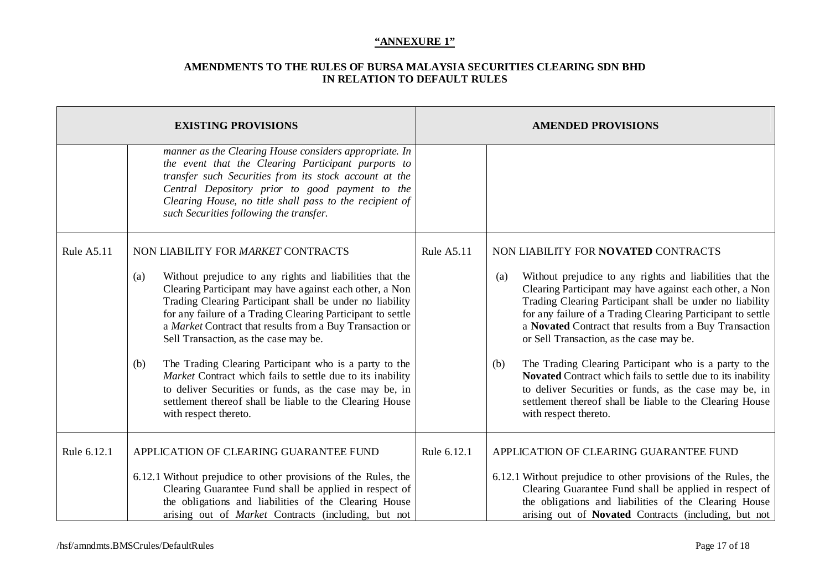|             | <b>EXISTING PROVISIONS</b>                                                                                                                                                                                                                                                                                                       | <b>AMENDED PROVISIONS</b> |                                                                                                                                                                                                                                                                             |  |
|-------------|----------------------------------------------------------------------------------------------------------------------------------------------------------------------------------------------------------------------------------------------------------------------------------------------------------------------------------|---------------------------|-----------------------------------------------------------------------------------------------------------------------------------------------------------------------------------------------------------------------------------------------------------------------------|--|
|             | manner as the Clearing House considers appropriate. In<br>the event that the Clearing Participant purports to<br>transfer such Securities from its stock account at the<br>Central Depository prior to good payment to the<br>Clearing House, no title shall pass to the recipient of<br>such Securities following the transfer. |                           |                                                                                                                                                                                                                                                                             |  |
| Rule A5.11  | NON LIABILITY FOR MARKET CONTRACTS<br>Without prejudice to any rights and liabilities that the<br>(a)<br>Clearing Participant may have against each other, a Non                                                                                                                                                                 | Rule A5.11                | NON LIABILITY FOR NOVATED CONTRACTS<br>Without prejudice to any rights and liabilities that the<br>(a)<br>Clearing Participant may have against each other, a Non                                                                                                           |  |
|             | Trading Clearing Participant shall be under no liability<br>for any failure of a Trading Clearing Participant to settle<br>a Market Contract that results from a Buy Transaction or<br>Sell Transaction, as the case may be.                                                                                                     |                           | Trading Clearing Participant shall be under no liability<br>for any failure of a Trading Clearing Participant to settle<br>a Novated Contract that results from a Buy Transaction<br>or Sell Transaction, as the case may be.                                               |  |
|             | The Trading Clearing Participant who is a party to the<br>(b)<br>Market Contract which fails to settle due to its inability<br>to deliver Securities or funds, as the case may be, in<br>settlement thereof shall be liable to the Clearing House<br>with respect thereto.                                                       |                           | The Trading Clearing Participant who is a party to the<br>(b)<br>Novated Contract which fails to settle due to its inability<br>to deliver Securities or funds, as the case may be, in<br>settlement thereof shall be liable to the Clearing House<br>with respect thereto. |  |
| Rule 6.12.1 | APPLICATION OF CLEARING GUARANTEE FUND                                                                                                                                                                                                                                                                                           | Rule 6.12.1               | APPLICATION OF CLEARING GUARANTEE FUND                                                                                                                                                                                                                                      |  |
|             | 6.12.1 Without prejudice to other provisions of the Rules, the<br>Clearing Guarantee Fund shall be applied in respect of<br>the obligations and liabilities of the Clearing House<br>arising out of <i>Market</i> Contracts (including, but not                                                                                  |                           | 6.12.1 Without prejudice to other provisions of the Rules, the<br>Clearing Guarantee Fund shall be applied in respect of<br>the obligations and liabilities of the Clearing House<br>arising out of <b>Novated</b> Contracts (including, but not                            |  |